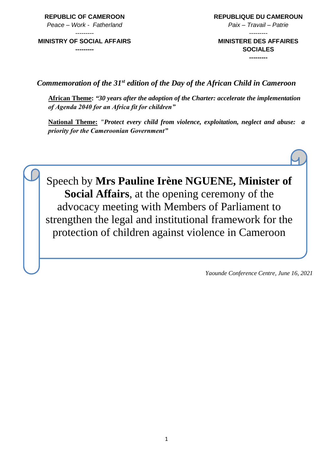**REPUBLIC OF CAMEROON** *Peace – Work - Fatherland*

--------- **MINISTRY OF SOCIAL AFFAIRS** **REPUBLIQUE DU CAMEROUN** *Paix – Travail – Patrie* ---------

**MINISTERE DES AFFAIRES SOCIALES ---------**

**---------**

*Commemoration of the 31st edition of the Day of the African Child in Cameroon*

**African Theme:** *"30 years after the adoption of the Charter: accelerate the implementation of Agenda 2040 for an Africa fit for children"*

**National Theme:** *"Protect every child from violence, exploitation, neglect and abuse: a priority for the Cameroonian Government"*



*Yaounde Conference Centre, June 16, 2021*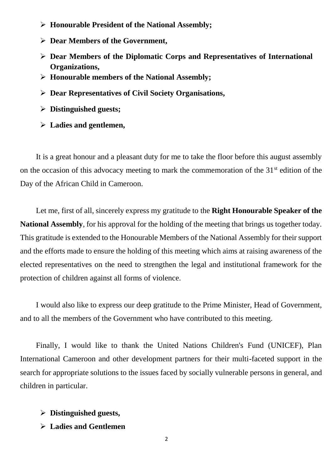- **Honourable President of the National Assembly;**
- **Dear Members of the Government,**
- **Dear Members of the Diplomatic Corps and Representatives of International Organizations,**
- **Honourable members of the National Assembly;**
- **Dear Representatives of Civil Society Organisations,**
- **Distinguished guests;**
- **Ladies and gentlemen,**

It is a great honour and a pleasant duty for me to take the floor before this august assembly on the occasion of this advocacy meeting to mark the commemoration of the  $31<sup>st</sup>$  edition of the Day of the African Child in Cameroon.

Let me, first of all, sincerely express my gratitude to the **Right Honourable Speaker of the National Assembly**, for his approval for the holding of the meeting that brings us together today. This gratitude is extended to the Honourable Members of the National Assembly for their support and the efforts made to ensure the holding of this meeting which aims at raising awareness of the elected representatives on the need to strengthen the legal and institutional framework for the protection of children against all forms of violence.

I would also like to express our deep gratitude to the Prime Minister, Head of Government, and to all the members of the Government who have contributed to this meeting.

Finally, I would like to thank the United Nations Children's Fund (UNICEF), Plan International Cameroon and other development partners for their multi-faceted support in the search for appropriate solutions to the issues faced by socially vulnerable persons in general, and children in particular.

- **Distinguished guests,**
- **Ladies and Gentlemen**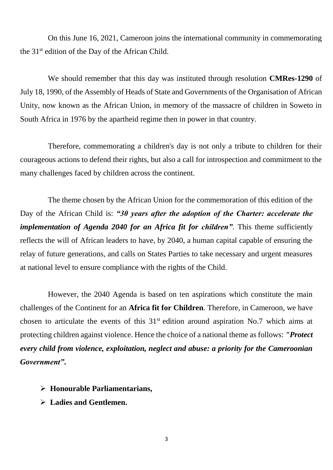On this June 16, 2021, Cameroon joins the international community in commemorating the 31<sup>st</sup> edition of the Day of the African Child.

We should remember that this day was instituted through resolution **CMRes-1290** of July 18, 1990, of the Assembly of Heads of State and Governments of the Organisation of African Unity, now known as the African Union, in memory of the massacre of children in Soweto in South Africa in 1976 by the apartheid regime then in power in that country.

Therefore, commemorating a children's day is not only a tribute to children for their courageous actions to defend their rights, but also a call for introspection and commitment to the many challenges faced by children across the continent.

The theme chosen by the African Union for the commemoration of this edition of the Day of the African Child is: *"30 years after the adoption of the Charter: accelerate the implementation of Agenda 2040 for an Africa fit for children*". This theme sufficiently reflects the will of African leaders to have, by 2040, a human capital capable of ensuring the relay of future generations, and calls on States Parties to take necessary and urgent measures at national level to ensure compliance with the rights of the Child.

However, the 2040 Agenda is based on ten aspirations which constitute the main challenges of the Continent for an **Africa fit for Children**. Therefore, in Cameroon, we have chosen to articulate the events of this  $31<sup>st</sup>$  edition around aspiration No.7 which aims at protecting children against violence. Hence the choice of a national theme as follows: *"Protect every child from violence, exploitation, neglect and abuse: a priority for the Cameroonian Government"***.**

- **Honourable Parliamentarians,**
- **Ladies and Gentlemen.**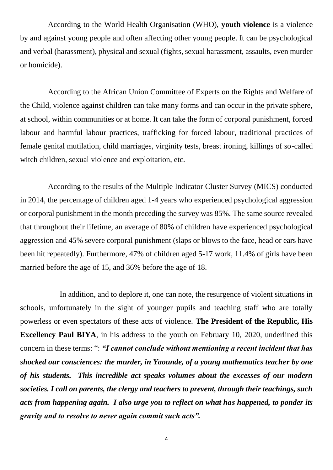According to the World Health Organisation (WHO), **youth violence** is a violence by and against young people and often affecting other young people. It can be psychological and verbal (harassment), physical and sexual (fights, sexual harassment, assaults, even murder or homicide).

According to the African Union Committee of Experts on the Rights and Welfare of the Child, violence against children can take many forms and can occur in the private sphere, at school, within communities or at home. It can take the form of corporal punishment, forced labour and harmful labour practices, trafficking for forced labour, traditional practices of female genital mutilation, child marriages, virginity tests, breast ironing, killings of so-called witch children, sexual violence and exploitation, etc.

According to the results of the Multiple Indicator Cluster Survey (MICS) conducted in 2014, the percentage of children aged 1-4 years who experienced psychological aggression or corporal punishment in the month preceding the survey was 85%. The same source revealed that throughout their lifetime, an average of 80% of children have experienced psychological aggression and 45% severe corporal punishment (slaps or blows to the face, head or ears have been hit repeatedly). Furthermore, 47% of children aged 5-17 work, 11.4% of girls have been married before the age of 15, and 36% before the age of 18.

In addition, and to deplore it, one can note, the resurgence of violent situations in schools, unfortunately in the sight of younger pupils and teaching staff who are totally powerless or even spectators of these acts of violence. **The President of the Republic, His Excellency Paul BIYA**, in his address to the youth on February 10, 2020, underlined this concern in these terms: ": *"I cannot conclude without mentioning a recent incident that has shocked our consciences: the murder, in Yaounde, of a young mathematics teacher by one of his students. This incredible act speaks volumes about the excesses of our modern societies. I call on parents, the clergy and teachers to prevent, through their teachings, such acts from happening again. I also urge you to reflect on what has happened, to ponder its gravity and to resolve to never again commit such acts".*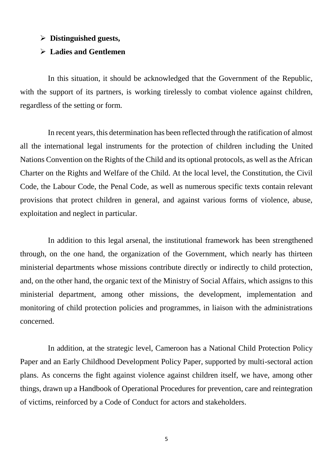#### **Distinguished guests,**

#### **Ladies and Gentlemen**

In this situation, it should be acknowledged that the Government of the Republic, with the support of its partners, is working tirelessly to combat violence against children, regardless of the setting or form.

In recent years, this determination has been reflected through the ratification of almost all the international legal instruments for the protection of children including the United Nations Convention on the Rights of the Child and its optional protocols, as well as the African Charter on the Rights and Welfare of the Child. At the local level, the Constitution, the Civil Code, the Labour Code, the Penal Code, as well as numerous specific texts contain relevant provisions that protect children in general, and against various forms of violence, abuse, exploitation and neglect in particular.

In addition to this legal arsenal, the institutional framework has been strengthened through, on the one hand, the organization of the Government, which nearly has thirteen ministerial departments whose missions contribute directly or indirectly to child protection, and, on the other hand, the organic text of the Ministry of Social Affairs, which assigns to this ministerial department, among other missions, the development, implementation and monitoring of child protection policies and programmes, in liaison with the administrations concerned.

In addition, at the strategic level, Cameroon has a National Child Protection Policy Paper and an Early Childhood Development Policy Paper, supported by multi-sectoral action plans. As concerns the fight against violence against children itself, we have, among other things, drawn up a Handbook of Operational Procedures for prevention, care and reintegration of victims, reinforced by a Code of Conduct for actors and stakeholders.

5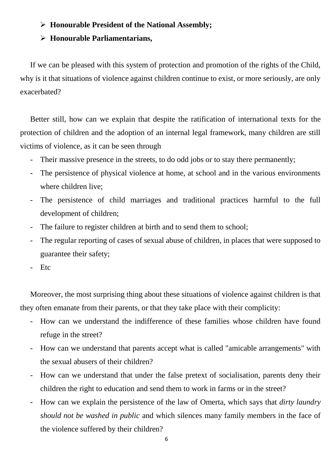# **Honourable President of the National Assembly;**

# **Honourable Parliamentarians,**

If we can be pleased with this system of protection and promotion of the rights of the Child, why is it that situations of violence against children continue to exist, or more seriously, are only exacerbated?

Better still, how can we explain that despite the ratification of international texts for the protection of children and the adoption of an internal legal framework, many children are still victims of violence, as it can be seen through

- Their massive presence in the streets, to do odd jobs or to stay there permanently;
- The persistence of physical violence at home, at school and in the various environments where children live;
- The persistence of child marriages and traditional practices harmful to the full development of children;
- The failure to register children at birth and to send them to school;
- The regular reporting of cases of sexual abuse of children, in places that were supposed to guarantee their safety;
- Etc

Moreover, the most surprising thing about these situations of violence against children is that they often emanate from their parents, or that they take place with their complicity:

- How can we understand the indifference of these families whose children have found refuge in the street?
- How can we understand that parents accept what is called "amicable arrangements" with the sexual abusers of their children?
- How can we understand that under the false pretext of socialisation, parents deny their children the right to education and send them to work in farms or in the street?
- How can we explain the persistence of the law of Omerta, which says that *dirty laundry should not be washed in public* and which silences many family members in the face of the violence suffered by their children?